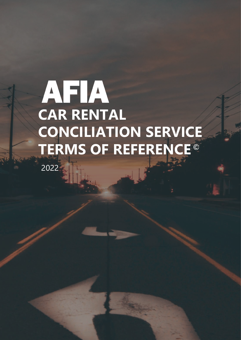2022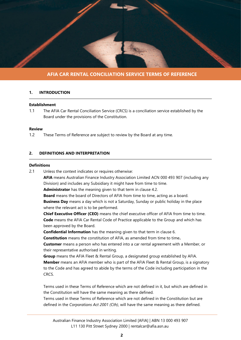

## **1. INTRODUCTION**

#### **Establishment**

1.1 The AFIA Car Rental Conciliation Service (CRCS) is a conciliation service established by the Board under the provisions of the Constitution.

#### **Review**

1.2 These Terms of Reference are subject to review by the Board at any time.

## **2. DEFINITIONS AND INTERPRETATION**

## **Definitions**

2.1 Unless the context indicates or requires otherwise:

**AFIA** means Australian Finance Industry Association Limited ACN 000 493 907 (including any Division) and includes any Subsidiary it might have from time to time.

**Administrator** has the meaning given to that term in clause 4.2.

**Board** means the board of Directors of AFIA from time to time, acting as a board.

**Business Day** means a day which is not a Saturday, Sunday or public holiday in the place where the relevant act is to be performed.

**Chief Executive Officer (CEO)** means the chief executive officer of AFIA from time to time. **Code** means the AFIA Car Rental Code of Practice applicable to the Group and which has been approved by the Board.

**Confidential Information** has the meaning given to that term in clause 6.

**Constitution** means the constitution of AFIA, as amended from time to time**.**

**Customer** means a person who has entered into a car rental agreement with a Member, or their representative authorised in writing.

**Group** means the AFIA Fleet & Rental Group, a designated group established by AFIA. **Member** means an AFIA member who is part of the AFIA Fleet & Rental Group, is a signatory to the Code and has agreed to abide by the terms of the Code including participation in the CRCS.

Terms used in these Terms of Reference which are not defined in it, but which are defined in the Constitution will have the same meaning as there defined.

Terms used in these Terms of Reference which are not defined in the Constitution but are defined in the *Corporations Act 2001 (Cth)*, will have the same meaning as there defined.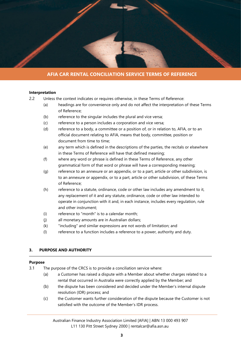

#### **Interpretation**

- 2.2 Unless the context indicates or requires otherwise, in these Terms of Reference:
	- (a) headings are for convenience only and do not affect the interpretation of these Terms of Reference;
	- (b) reference to the singular includes the plural and vice versa;
	- (c) reference to a person includes a corporation and vice versa;
	- (d) reference to a body, a committee or a position of, or in relation to, AFIA, or to an official document relating to AFIA, means that body, committee, position or document from time to time;
	- (e) any term which is defined in the descriptions of the parties, the recitals or elsewhere in these Terms of Reference will have that defined meaning;
	- (f) where any word or phrase is defined in these Terms of Reference, any other grammatical form of that word or phrase will have a corresponding meaning;
	- (g) reference to an annexure or an appendix, or to a part, article or other subdivision, is to an annexure or appendix, or to a part, article or other subdivision, of these Terms of Reference;
	- (h) reference to a statute, ordinance, code or other law includes any amendment to it, any replacement of it and any statute, ordinance, code or other law intended to operate in conjunction with it and, in each instance, includes every regulation, rule and other instrument;
	- (i) reference to "month" is to a calendar month;
	- (j) all monetary amounts are in Australian dollars;
	- (k) "including" and similar expressions are not words of limitation; and
	- (l) reference to a function includes a reference to a power, authority and duty.

## **3. PURPOSE AND AUTHORITY**

#### **Purpose**

- 3.1 The purpose of the CRCS is to provide a conciliation service where:
	- (a) a Customer has raised a dispute with a Member about whether charges related to a rental that occurred in Australia were correctly applied by the Member; and
	- (b) the dispute has been considered and decided under the Member's internal dispute resolution (IDR) process; and
	- (c) the Customer wants further consideration of the dispute because the Customer is not satisfied with the outcome of the Member's IDR process.

Australian Finance Industry Association Limited [AFIA] | ABN 13 000 493 907 L11 130 Pitt Street Sydney 2000 | rentalcar@afia.asn.au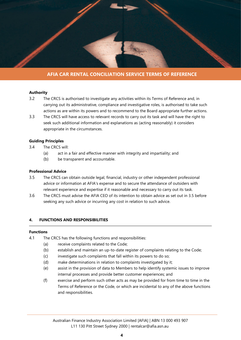

## **Authority**

- 3.2 The CRCS is authorised to investigate any activities within its Terms of Reference and, in carrying out its administrative, compliance and investigative roles, is authorised to take such actions as are within its powers and to recommend to the Board appropriate further actions.
- 3.3 The CRCS will have access to relevant records to carry out its task and will have the right to seek such additional information and explanations as (acting reasonably) it considers appropriate in the circumstances.

#### **Guiding Principles**

- 3.4 The CRCS will:
	- (a) act in a fair and effective manner with integrity and impartiality; and
	- (b) be transparent and accountable.

## **Professional Advice**

- 3.5 The CRCS can obtain outside legal, financial, industry or other independent professional advice or information at AFIA's expense and to secure the attendance of outsiders with relevant experience and expertise if it reasonable and necessary to carry out its task.
- 3.6 The CRCS must advise the AFIA CEO of its intention to obtain advice as set out in 3.5 before seeking any such advice or incurring any cost in relation to such advice.

## **4. FUNCTIONS AND RESPONSIBILITIES**

#### **Functions**

- 4.1 The CRCS has the following functions and responsibilities:
	- (a) receive complaints related to the Code;
	- (b) establish and maintain an up-to-date register of complaints relating to the Code;
	- (c) investigate such complaints that fall within its powers to do so;
	- (d) make determinations in relation to complaints investigated by it;
	- (e) assist in the provision of data to Members to help identify systemic issues to improve internal processes and provide better customer experiences; and
	- (f) exercise and perform such other acts as may be provided for from time to time in the Terms of Reference or the Code, or which are incidental to any of the above functions and responsibilities.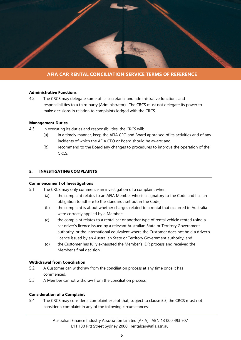

## **Administrative Functions**

4.2 The CRCS may delegate some of its secretarial and administrative functions and responsibilities to a third party (Administrator). The CRCS must not delegate its power to make decisions in relation to complaints lodged with the CRCS.

#### **Management Duties**

- 4.3 In executing its duties and responsibilities, the CRCS will:
	- (a) in a timely manner, keep the AFIA CEO and Board appraised of its activities and of any incidents of which the AFIA CEO or Board should be aware; and
	- (b) recommend to the Board any changes to procedures to improve the operation of the CRCS.

## **5. INVESTIGATING COMPLAINTS**

## **Commencement of Investigations**

- 5.1 The CRCS may only commence an investigation of a complaint when:
	- (a) the complaint relates to an AFIA Member who is a signatory to the Code and has an obligation to adhere to the standards set out in the Code;
	- (b) the complaint is about whether charges related to a rental that occurred in Australia were correctly applied by a Member;
	- (c) the complaint relates to a rental car or another type of rental vehicle rented using a car driver's licence issued by a relevant Australian State or Territory Government authority, or the international equivalent where the Customer does not hold a driver's licence issued by an Australian State or Territory Government authority; and
	- (d) the Customer has fully exhausted the Member's IDR process and received the Member's final decision.

## **Withdrawal from Conciliation**

- 5.2 A Customer can withdraw from the conciliation process at any time once it has commenced.
- 5.3 A Member cannot withdraw from the conciliation process.

## **Consideration of a Complaint**

5.4 The CRCS may consider a complaint except that, subject to clause 5.5, the CRCS must not consider a complaint in any of the following circumstances: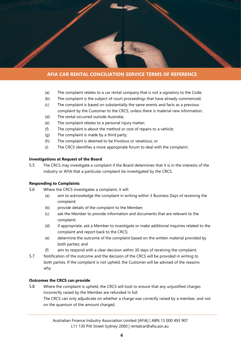

- (a) The complaint relates to a car rental company that is not a signatory to the Code;
- (b) The complaint is the subject of court proceedings that have already commenced;
- (c) The complaint is based on substantially the same events and facts as a previous complaint by the Customer to the CRCS, unless there is material new information;
- (d) The rental occurred outside Australia;
- (e) The complaint relates to a personal injury matter;
- (f) The complaint is about the method or cost of repairs to a vehicle;
- (g) The complaint is made by a third party;
- (h) The complaint is deemed to be frivolous or vexatious; or
- (i) The CRCS identifies a more appropriate forum to deal with the complaint.

#### **Investigations at Request of the Board**

5.5 The CRCS may investigate a complaint if the Board determines that it is in the interests of the industry or AFIA that a particular complaint be investigated by the CRCS.

#### **Responding to Complaints**

- 5.6 Where the CRCS investigates a complaint, it will:
	- (a) aim to acknowledge the complaint in writing within 3 Business Days of receiving the complaint;
	- (b) provide details of the complaint to the Member;
	- (c) ask the Member to provide information and documents that are relevant to the complaint;
	- (d) if appropriate, ask a Member to investigate or make additional inquiries related to the complaint and report back to the CRCS;
	- (e) determine the outcome of the complaint based on the written material provided by both parties; and
	- (f) aim to respond with a clear decision within 30 days of receiving the complaint.
- 5.7 Notification of the outcome and the decision of the CRCS will be provided in writing to both parties. If the complaint is not upheld, the Customer will be advised of the reasons why.

## **Outcomes the CRCS can provide**

5.8 Where the complaint is upheld, the CRCS will look to ensure that any unjustified charges incorrectly raised by the Member are refunded in full. The CRCS can only adjudicate on whether a charge was correctly raised by a member, and not on the quantum of the amount charged.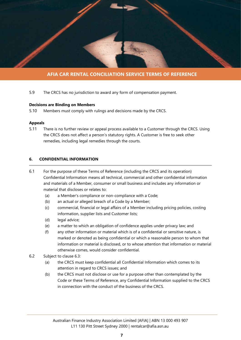

5.9 The CRCS has no jurisdiction to award any form of compensation payment.

## **Decisions are Binding on Members**

5.10 Members must comply with rulings and decisions made by the CRCS.

## **Appeals**

5.11 There is no further review or appeal process available to a Customer through the CRCS. Using the CRCS does not affect a person's statutory rights. A Customer is free to seek other remedies, including legal remedies through the courts.

## **6. CONFIDENTIAL INFORMATION**

- 6.1 For the purpose of these Terms of Reference (including the CRCS and its operation) Confidential Information means all technical, commercial and other confidential information and materials of a Member, consumer or small business and includes any information or material that discloses or relates to:
	- (a) a Member's compliance or non-compliance with a Code;
	- (b) an actual or alleged breach of a Code by a Member;
	- (c) commercial, financial or legal affairs of a Member including pricing policies, costing information, supplier lists and Customer lists;
	- (d) legal advice;
	- (e) a matter to which an obligation of confidence applies under privacy law; and
	- (f) any other information or material which is of a confidential or sensitive nature, is marked or denoted as being confidential or which a reasonable person to whom that information or material is disclosed, or to whose attention that information or material otherwise comes, would consider confidential.
- 6.2 Subject to clause 6.3:
	- (a) the CRCS must keep confidential all Confidential Information which comes to its attention in regard to CRCS issues; and
	- (b) the CRCS must not disclose or use for a purpose other than contemplated by the Code or these Terms of Reference, any Confidential Information supplied to the CRCS in connection with the conduct of the business of the CRCS.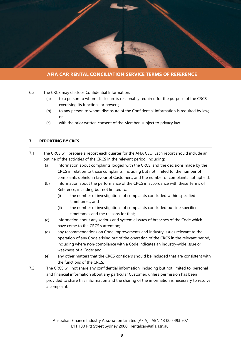

- 6.3 The CRCS may disclose Confidential Information:
	- (a) to a person to whom disclosure is reasonably required for the purpose of the CRCS exercising its functions or powers;
	- (b) to any person to whom disclosure of the Confidential Information is required by law; or
	- (c) with the prior written consent of the Member, subject to privacy law.

## **7. REPORTING BY CRCS**

- 7.1 The CRCS will prepare a report each quarter for the AFIA CEO. Each report should include an outline of the activities of the CRCS in the relevant period, including:
	- (a) information about complaints lodged with the CRCS, and the decisions made by the CRCS in relation to those complaints, including but not limited to, the number of complaints upheld in favour of Customers, and the number of complaints not upheld;
	- (b) information about the performance of the CRCS in accordance with these Terms of Reference, including but not limited to:
		- (i) the number of investigations of complaints concluded within specified timeframes; and
		- (ii) the number of investigations of complaints concluded outside specified timeframes and the reasons for that;
	- (c) information about any serious and systemic issues of breaches of the Code which have come to the CRCS's attention;
	- (d) any recommendations on Code improvements and industry issues relevant to the operation of any Code arising out of the operation of the CRCS in the relevant period, including where non-compliance with a Code indicates an industry-wide issue or weakness of a Code; and
	- (e) any other matters that the CRCS considers should be included that are consistent with the functions of the CRCS.
- 7.2 The CRCS will not share any confidential information, including but not limited to, personal and financial information about any particular Customer, unless permission has been provided to share this information and the sharing of the information is necessary to resolve a complaint.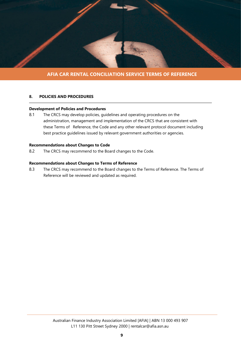

#### **8. POLICIES AND PROCEDURES**

## **Development of Policies and Procedures**

8.1 The CRCS may develop policies, guidelines and operating procedures on the administration, management and implementation of the CRCS that are consistent with these Terms of Reference, the Code and any other relevant protocol document including best practice guidelines issued by relevant government authorities or agencies.

## **Recommendations about Changes to Code**

8.2 The CRCS may recommend to the Board changes to the Code.

#### **Recommendations about Changes to Terms of Reference**

8.3 The CRCS may recommend to the Board changes to the Terms of Reference. The Terms of Reference will be reviewed and updated as required.